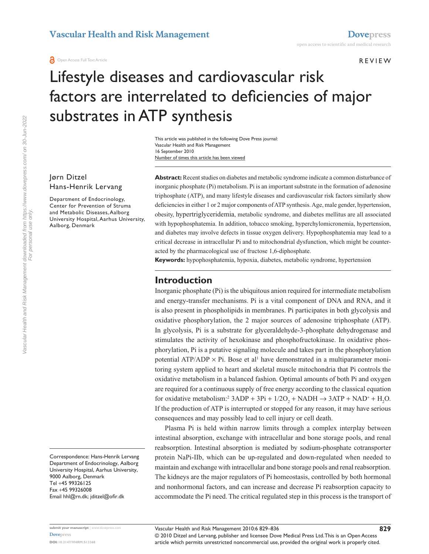**O** Open Access Full Text Article

REVIEW

# Lifestyle diseases and cardiovascular risk factors are interrelated to deficiencies of major substrates in ATP synthesis

Number of times this article has been viewed This article was published in the following Dove Press journal: Vascular Health and Risk Management 16 September 2010

Jørn Ditzel Hans-Henrik Lervang

Department of Endocrinology, Center for Prevention of Struma and Metabolic Diseases, Aalborg University Hospital, Aarhus University, Aalborg, Denmark

Correspondence: Hans-Henrik Lervang Department of Endocrinology, Aalborg University Hospital, Aarhus University, 9000 Aalborg, Denmark Tel +45 99326125 Fax +45 99326008 Email hhl@rn.dk; jditzel@ofir.dk

**Abstract:** Recent studies on diabetes and metabolic syndrome indicate a common disturbance of inorganic phosphate (Pi) metabolism. Pi is an important substrate in the formation of adenosine triphosphate (ATP), and many lifestyle diseases and cardiovascular risk factors similarly show deficiencies in either 1 or 2 major components of ATP synthesis. Age, male gender, hypertension, obesity, hypertriglyceridemia, metabolic syndrome, and diabetes mellitus are all associated with hypophosphatemia. In addition, tobacco smoking, hyperchylomicronemia, hypertension, and diabetes may involve defects in tissue oxygen delivery. Hypophosphatemia may lead to a critical decrease in intracellular Pi and to mitochondrial dysfunction, which might be counteracted by the pharmacological use of fructose 1,6-diphosphate.

**Keywords:** hypophosphatemia, hypoxia, diabetes, metabolic syndrome, hypertension

### **Introduction**

Inorganic phosphate (Pi) is the ubiquitous anion required for intermediate metabolism and energy-transfer mechanisms. Pi is a vital component of DNA and RNA, and it is also present in phospholipids in membranes. Pi participates in both glycolysis and oxidative phosphorylation, the 2 major sources of adenosine triphosphate (ATP). In glycolysis, Pi is a substrate for glyceraldehyde-3-phosphate dehydrogenase and stimulates the activity of hexokinase and phosphofructokinase. In oxidative phosphorylation, Pi is a putative signaling molecule and takes part in the phosphorylation potential  $ATP/ADP \times Pi$ . Bose et al<sup>1</sup> have demonstrated in a multiparameter monitoring system applied to heart and skeletal muscle mitochondria that Pi controls the oxidative metabolism in a balanced fashion. Optimal amounts of both Pi and oxygen are required for a continuous supply of free energy according to the classical equation for oxidative metabolism:<sup>2</sup>  $3ADP + 3Pi + 1/2O_2 + NADH \rightarrow 3ATP + NAD^+ + H_2O$ . If the production of ATP is interrupted or stopped for any reason, it may have serious consequences and may possibly lead to cell injury or cell death.

Plasma Pi is held within narrow limits through a complex interplay between intestinal absorption, exchange with intracellular and bone storage pools, and renal reabsorption. Intestinal absorption is mediated by sodium-phosphate cotransporter protein NaPi-IIb, which can be up-regulated and down-regulated when needed to maintain and exchange with intracellular and bone storage pools and renal reabsorption. The kidneys are the major regulators of Pi homeostasis, controlled by both hormonal and nonhormonal factors, and can increase and decrease Pi reabsorption capacity to accommodate the Pi need. The critical regulated step in this process is the transport of

© 2010 Ditzel and Lervang, publisher and licensee Dove Medical Press Ltd. This is an Open Access article which permits unrestricted noncommercial use, provided the original work is properly cited.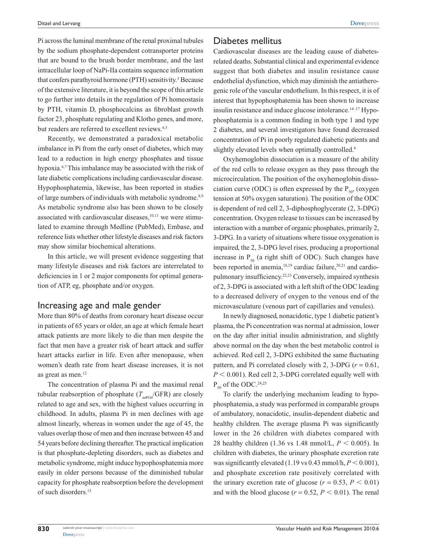Pi across the luminal membrane of the renal proximal tubules by the sodium phosphate-dependent cotransporter proteins that are bound to the brush border membrane, and the last intracellular loop of NaPi-IIa contains sequence information that confers parathyroid hormone (PTH) sensitivity.<sup>3</sup> Because of the extensive literature, it is beyond the scope of this article to go further into details in the regulation of Pi homeostasis by PTH, vitamin D, phosphocalcins as fibroblast growth factor 23, phosphate regulating and Klotho genes, and more, but readers are referred to excellent reviews.<sup>4,5</sup>

Recently, we demonstrated a paradoxical metabolic imbalance in Pi from the early onset of diabetes, which may lead to a reduction in high energy phosphates and tissue hypoxia.<sup>6,7</sup> This imbalance may be associated with the risk of late diabetic complications including cardiovascular disease. Hypophosphatemia, likewise, has been reported in studies of large numbers of individuals with metabolic syndrome.<sup>8,9</sup> As metabolic syndrome also has been shown to be closely associated with cardiovascular diseases, $10,11$  we were stimulated to examine through Medline (PubMed), Embase, and reference lists whether other lifestyle diseases and risk factors may show similar biochemical alterations.

In this article, we will present evidence suggesting that many lifestyle diseases and risk factors are interrelated to deficiencies in 1 or 2 major components for optimal generation of ATP, eg, phosphate and/or oxygen.

#### Increasing age and male gender

More than 80% of deaths from coronary heart disease occur in patients of 65 years or older, an age at which female heart attack patients are more likely to die than men despite the fact that men have a greater risk of heart attack and suffer heart attacks earlier in life. Even after menopause, when women's death rate from heart disease increases, it is not as great as men.<sup>12</sup>

The concentration of plasma Pi and the maximal renal tubular reabsorption of phosphate  $(T_{\text{mPoA}}/GFR)$  are closely related to age and sex, with the highest values occurring in childhood. In adults, plasma Pi in men declines with age almost linearly, whereas in women under the age of 45, the values overlap those of men and then increase between 45 and 54 years before declining thereafter. The practical implication is that phosphate-depleting disorders, such as diabetes and metabolic syndrome, might induce hypophosphatemia more easily in older persons because of the diminished tubular capacity for phosphate reabsorption before the development of such disorders.<sup>13</sup>

#### Diabetes mellitus

Cardiovascular diseases are the leading cause of diabetesrelated deaths. Substantial clinical and experimental evidence suggest that both diabetes and insulin resistance cause endothelial dysfunction, which may diminish the antiatherogenic role of the vascular endothelium. In this respect, it is of interest that hypophosphatemia has been shown to increase insulin resistance and induce glucose intolerance.<sup>14-17</sup> Hypophosphatemia is a common finding in both type 1 and type 2 diabetes, and several investigators have found decreased concentration of Pi in poorly regulated diabetic patients and slightly elevated levels when optimally controlled.<sup>6</sup>

Oxyhemoglobin dissociation is a measure of the ability of the red cells to release oxygen as they pass through the microcirculation. The position of the oxyhemoglobin dissociation curve (ODC) is often expressed by the  $P_{50}$  (oxygen tension at 50% oxygen saturation). The position of the ODC is dependent of red cell 2, 3-diphosphoglycerate (2, 3-DPG) concentration. Oxygen release to tissues can be increased by interaction with a number of organic phosphates, primarily 2, 3-DPG. In a variety of situations where tissue oxygenation is impaired, the 2, 3-DPG level rises, producing a proportional increase in  $P_{50}$  (a right shift of ODC). Such changes have been reported in anemia, $18,19$  cardiac failure, $20,21$  and cardiopulmonary insufficiency.22,23 Conversely, impaired synthesis of 2, 3-DPG is associated with a left shift of the ODC leading to a decreased delivery of oxygen to the venous end of the microvasculature (venous part of capillaries and venules).

In newly diagnosed, nonacidotic, type 1 diabetic patient's plasma, the Pi concentration was normal at admission, lower on the day after initial insulin administration, and slightly above normal on the day when the best metabolic control is achieved. Red cell 2, 3-DPG exhibited the same fluctuating pattern, and Pi correlated closely with 2, 3-DPG ( $r = 0.61$ ,  $P < 0.001$ ). Red cell 2, 3-DPG correlated equally well with  $P_{50}$  of the ODC.<sup>24,25</sup>

To clarify the underlying mechanism leading to hypophosphatemia, a study was performed in comparable groups of ambulatory, nonacidotic, insulin-dependent diabetic and healthy children. The average plasma Pi was significantly lower in the 26 children with diabetes compared with 28 healthy children (1.36 vs 1.48 mmol/L,  $P < 0.005$ ). In children with diabetes, the urinary phosphate excretion rate was significantly elevated  $(1.19 \text{ vs } 0.43 \text{ mmol/h}, P \le 0.001)$ , and phosphate excretion rate positively correlated with the urinary excretion rate of glucose ( $r = 0.53$ ,  $P < 0.01$ ) and with the blood glucose ( $r = 0.52$ ,  $P < 0.01$ ). The renal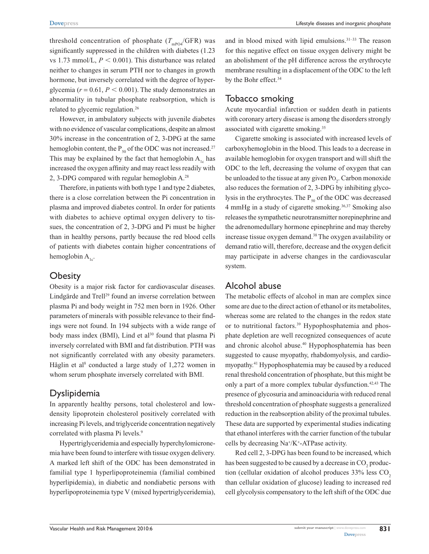threshold concentration of phosphate  $(T_{\text{mp04}}/GFR)$  was significantly suppressed in the children with diabetes (1.23) vs 1.73 mmol/L,  $P < 0.001$ ). This disturbance was related neither to changes in serum PTH nor to changes in growth hormone, but inversely correlated with the degree of hyperglycemia ( $r = 0.61$ ,  $P < 0.001$ ). The study demonstrates an abnormality in tubular phosphate reabsorption, which is related to glycemic regulation.26

However, in ambulatory subjects with juvenile diabetes with no evidence of vascular complications, despite an almost 30% increase in the concentration of 2, 3-DPG at the same hemoglobin content, the  $P_{50}$  of the ODC was not increased.<sup>27</sup> This may be explained by the fact that hemoglobin  $A_{1c}$  has increased the oxygen affinity and may react less readily with 2, 3-DPG compared with regular hemoglobin A.28

Therefore, in patients with both type 1 and type 2 diabetes, there is a close correlation between the Pi concentration in plasma and improved diabetes control. In order for patients with diabetes to achieve optimal oxygen delivery to tissues, the concentration of 2, 3-DPG and Pi must be higher than in healthy persons, partly because the red blood cells of patients with diabetes contain higher concentrations of hemoglobin  $A_{1c}$ .

#### **Obesity**

Obesity is a major risk factor for cardiovascular diseases. Lindgärde and Trell<sup>29</sup> found an inverse correlation between plasma Pi and body weight in 752 men born in 1926. Other parameters of minerals with possible relevance to their findings were not found. In 194 subjects with a wide range of body mass index (BMI), Lind et  $a^{130}$  found that plasma Pi inversely correlated with BMI and fat distribution. PTH was not significantly correlated with any obesity parameters. Håglin et al<sup>8</sup> conducted a large study of 1,272 women in whom serum phosphate inversely correlated with BMI.

### **Dyslipidemia**

In apparently healthy persons, total cholesterol and lowdensity lipoprotein cholesterol positively correlated with increasing Pi levels, and triglyceride concentration negatively correlated with plasma Pi levels.<sup>9</sup>

Hypertriglyceridemia and especially hyperchylomicronemia have been found to interfere with tissue oxygen delivery. A marked left shift of the ODC has been demonstrated in familial type 1 hyperlipoproteinemia (familial combined hyperlipidemia), in diabetic and nondiabetic persons with hyperlipoproteinemia type V (mixed hypertriglyceridemia),

and in blood mixed with lipid emulsions.31–33 The reason for this negative effect on tissue oxygen delivery might be an abolishment of the pH difference across the erythrocyte membrane resulting in a displacement of the ODC to the left by the Bohr effect.<sup>34</sup>

## Tobacco smoking

Acute myocardial infarction or sudden death in patients with coronary artery disease is among the disorders strongly associated with cigarette smoking.35

Cigarette smoking is associated with increased levels of carboxyhemoglobin in the blood. This leads to a decrease in available hemoglobin for oxygen transport and will shift the ODC to the left, decreasing the volume of oxygen that can be unloaded to the tissue at any given Po<sub>2</sub>. Carbon monoxide also reduces the formation of 2, 3-DPG by inhibiting glycolysis in the erythrocytes. The  $P_{50}$  of the ODC was decreased 4 mmHg in a study of cigarette smoking.36,37 Smoking also releases the sympathetic neurotransmitter norepinephrine and the adrenomedullary hormone epinephrine and may thereby increase tissue oxygen demand.38 The oxygen availability or demand ratio will, therefore, decrease and the oxygen deficit may participate in adverse changes in the cardiovascular system.

# Alcohol abuse

The metabolic effects of alcohol in man are complex since some are due to the direct action of ethanol or its metabolites, whereas some are related to the changes in the redox state or to nutritional factors.<sup>39</sup> Hypophosphatemia and phosphate depletion are well recognized consequences of acute and chronic alcohol abuse.<sup>40</sup> Hypophosphatemia has been suggested to cause myopathy, rhabdomyolysis, and cardiomyopathy.41 Hypophosphatemia may be caused by a reduced renal threshold concentration of phosphate, but this might be only a part of a more complex tubular dysfunction.<sup>42,43</sup> The presence of glycosuria and aminoaciduria with reduced renal threshold concentration of phosphate suggests a generalized reduction in the reabsorption ability of the proximal tubules. These data are supported by experimental studies indicating that ethanol interferes with the carrier function of the tubular cells by decreasing Na<sup>+</sup> /K<sup>+</sup> -ATPase activity.

Red cell 2, 3-DPG has been found to be increased, which has been suggested to be caused by a decrease in  $\mathrm{CO}_2$  production (cellular oxidation of alcohol produces  $33\%$  less CO<sub>2</sub> than cellular oxidation of glucose) leading to increased red cell glycolysis compensatory to the left shift of the ODC due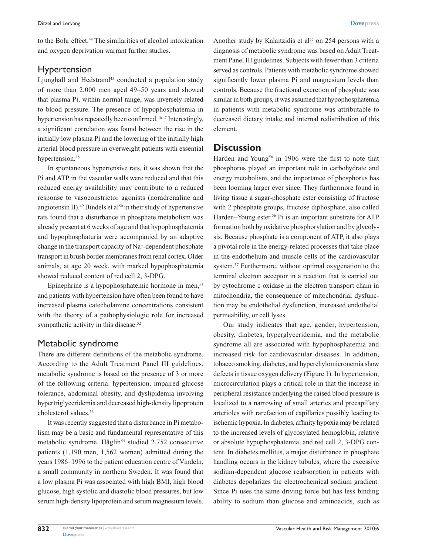to the Bohr effect.<sup>44</sup> The similarities of alcohol intoxication and oxygen deprivation warrant further studies.

## Hypertension

Ljunghall and Hedstrand<sup>45</sup> conducted a population study of more than 2,000 men aged 49–50 years and showed that plasma Pi, within normal range, was inversely related to blood pressure. The presence of hypophosphatemia in hypertension has repeatedly been confirmed.<sup>46,47</sup> Interestingly, a significant correlation was found between the rise in the initially low plasma Pi and the lowering of the initially high arterial blood pressure in overweight patients with essential hypertension.<sup>48</sup>

In spontaneous hypertensive rats, it was shown that the Pi and ATP in the vascular walls were reduced and that this reduced energy availability may contribute to a reduced response to vasoconstrictor agonists (noradrenaline and angiotensin II).<sup>49</sup> Bindels et al<sup>50</sup> in their study of hypertensive rats found that a disturbance in phosphate metabolism was already present at 6 weeks of age and that hypophosphatemia and hypophosphaturia were accompanied by an adaptive change in the transport capacity of Na<sup>+</sup> -dependent phosphate transport in brush border membranes from renal cortex. Older animals, at age 20 week, with marked hypophosphatemia showed reduced content of red cell 2, 3-DPG.

Epinephrine is a hypophosphatemic hormone in men, $51$ and patients with hypertension have often been found to have increased plasma catecholamine concentrations consistent with the theory of a pathophysiologic role for increased sympathetic activity in this disease.<sup>52</sup>

# Metabolic syndrome

There are different definitions of the metabolic syndrome. According to the Adult Treatment Panel III guidelines, metabolic syndrome is based on the presence of 3 or more of the following criteria: hypertension, impaired glucose tolerance, abdominal obesity, and dyslipidemia involving hypertriglyceridemia and decreased high-density lipoprotein cholesterol values.53

It was recently suggested that a disturbance in Pi metabolism may be a basic and fundamental representative of this metabolic syndrome. Håglin<sup>54</sup> studied 2,752 consecutive patients (1,190 men, 1,562 women) admitted during the years 1986–1996 to the patient education centre of Vindeln, a small community in northern Sweden. It was found that a low plasma Pi was associated with high BMI, high blood glucose, high systolic and diastolic blood pressures, but low serum high-density lipoprotein and serum magnesium levels.

Another study by Kalaitzidis et al<sup>55</sup> on 254 persons with a diagnosis of metabolic syndrome was based on Adult Treatment Panel III guidelines. Subjects with fewer than 3 criteria served as controls. Patients with metabolic syndrome showed significantly lower plasma Pi and magnesium levels than controls. Because the fractional excretion of phosphate was similar in both groups, it was assumed that hypophosphatemia in patients with metabolic syndrome was attributable to decreased dietary intake and internal redistribution of this element.

### **Discussion**

Harden and Young<sup>56</sup> in 1906 were the first to note that phosphorus played an important role in carbohydrate and energy metabolism, and the importance of phosphorus has been looming larger ever since. They furthermore found in living tissue a sugar-phosphate ester consisting of fructose with 2 phosphate groups, fructose diphosphate, also called Harden–Young ester.<sup>56</sup> Pi is an important substrate for ATP formation both by oxidative phosphorylation and by glycolysis. Because phosphate is a component of ATP, it also plays a pivotal role in the energy-related processes that take place in the endothelium and muscle cells of the cardiovascular system.<sup>57</sup> Furthermore, without optimal oxygenation to the terminal electron acceptor in a reaction that is carried out by cytochrome c oxidase in the electron transport chain in mitochondria, the consequence of mitochondrial dysfunction may be endothelial dysfunction, increased endothelial permeability, or cell lyses.

Our study indicates that age, gender, hypertension, obesity, diabetes, hyperglyceridemia, and the metabolic syndrome all are associated with hypophosphatemia and increased risk for cardiovascular diseases. In addition, tobacco smoking, diabetes, and hyperchylomicronemia show defects in tissue oxygen delivery (Figure 1). In hypertension, microcirculation plays a critical role in that the increase in peripheral resistance underlying the raised blood pressure is localized to a narrowing of small arteries and precapillary arterioles with rarefaction of capillaries possibly leading to ischemic hypoxia. In diabetes, affinity hypoxia may be related to the increased levels of glycosylated hemoglobin, relative or absolute hypophosphatemia, and red cell 2, 3-DPG content. In diabetes mellitus, a major disturbance in phosphate handling occurs in the kidney tubules, where the excessive sodium-dependent glucose reabsorption in patients with diabetes depolarizes the electrochemical sodium gradient. Since Pi uses the same driving force but has less binding ability to sodium than glucose and aminoacids, such as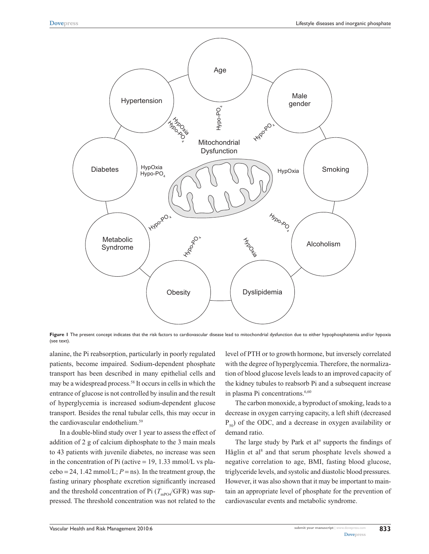

Figure I The present concept indicates that the risk factors to cardiovascular disease lead to mitochondrial dysfunction due to either hypophosphatemia and/or hypoxia (see text).

alanine, the Pi reabsorption, particularly in poorly regulated patients, become impaired. Sodium-dependent phosphate transport has been described in many epithelial cells and may be a widespread process.58 It occurs in cells in which the entrance of glucose is not controlled by insulin and the result of hyperglycemia is increased sodium-dependent glucose transport. Besides the renal tubular cells, this may occur in the cardiovascular endothelium.59

In a double-blind study over 1 year to assess the effect of addition of 2 g of calcium diphosphate to the 3 main meals to 43 patients with juvenile diabetes, no increase was seen in the concentration of Pi (active  $= 19, 1.33$  mmol/L vs pla $cebo = 24$ , 1.42 mmol/L;  $P =$ ns). In the treatment group, the fasting urinary phosphate excretion significantly increased and the threshold concentration of Pi  $(T_{\text{mPO4}}/GFR)$  was suppressed. The threshold concentration was not related to the

level of PTH or to growth hormone, but inversely correlated with the degree of hyperglycemia. Therefore, the normalization of blood glucose levels leads to an improved capacity of the kidney tubules to reabsorb Pi and a subsequent increase in plasma Pi concentrations.<sup>6,60</sup>

The carbon monoxide, a byproduct of smoking, leads to a decrease in oxygen carrying capacity, a left shift (decreased  $P_{50}$ ) of the ODC, and a decrease in oxygen availability or demand ratio.

The large study by Park et  $al^9$  supports the findings of Håglin et al<sup>8</sup> and that serum phosphate levels showed a negative correlation to age, BMI, fasting blood glucose, triglyceride levels, and systolic and diastolic blood pressures. However, it was also shown that it may be important to maintain an appropriate level of phosphate for the prevention of cardiovascular events and metabolic syndrome.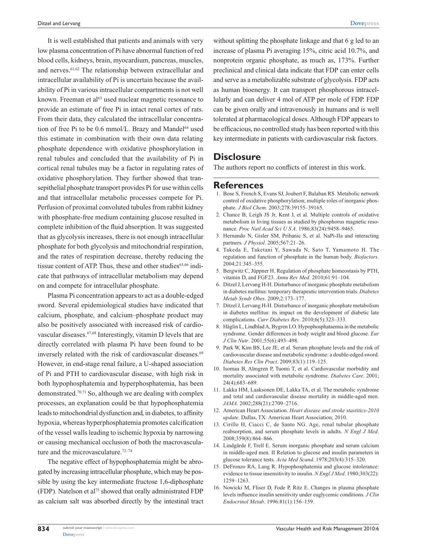It is well established that patients and animals with very low plasma concentration of Pi have abnormal function of red blood cells, kidneys, brain, myocardium, pancreas, muscles, and nerves.61,62 The relationship between extracellular and intracellular availability of Pi is uncertain because the availability of Pi in various intracellular compartments is not well known. Freeman et al<sup>63</sup> used nuclear magnetic resonance to provide an estimate of free Pi in intact renal cortex of rats. From their data, they calculated the intracellular concentration of free Pi to be 0.6 mmol/L. Brazy and Mandel<sup>64</sup> used this estimate in combination with their own data relating phosphate dependence with oxidative phosphorylation in renal tubules and concluded that the availability of Pi in cortical renal tubules may be a factor in regulating rates of oxidative phosphorylation. They further showed that transepithelial phosphate transport provides Pi for use within cells and that intracellular metabolic processes compete for Pi. Perfusion of proximal convoluted tubules from rabbit kidney with phosphate-free medium containing glucose resulted in complete inhibition of the fluid absorption. It was suggested that as glycolysis increases, there is not enough intracellular phosphate for both glycolysis and mitochondrial respiration, and the rates of respiration decrease, thereby reducing the tissue content of ATP. Thus, these and other studies<sup>65,66</sup> indicate that pathways of intracellular metabolism may depend on and compete for intracellular phosphate.

Plasma Pi concentration appears to act as a double-edged sword. Several epidemiological studies have indicated that calcium, phosphate, and calcium–phosphate product may also be positively associated with increased risk of cardiovascular diseases.67,68 Interestingly, vitamin D levels that are directly correlated with plasma Pi have been found to be inversely related with the risk of cardiovascular diseases.<sup>69</sup> However, in end-stage renal failure, a U-shaped association of Pi and PTH to cardiovascular disease, with high risk in both hypophosphatemia and hyperphosphatemia, has been demonstrated.70,71 So, although we are dealing with complex processes, an explanation could be that hypophosphatemia leads to mitochondrial dysfunction and, in diabetes, to affinity hypoxia, whereas hyperphosphatemia promotes calcification of the vessel walls leading to ischemic hypoxia by narrowing or causing mechanical occlusion of both the macrovasculature and the microvasculature.<sup>72–74</sup>

The negative effect of hypophosphatemia might be abrogated by increasing intracellular phosphate, which may be possible by using the key intermediate fructose 1,6-diphosphate (FDP). Natelson et al<sup>75</sup> showed that orally administrated FDP as calcium salt was absorbed directly by the intestinal tract

without splitting the phosphate linkage and that 6 g led to an increase of plasma Pi averaging 15%, citric acid 10.7%, and nonprotein organic phosphate, as much as, 173%. Further preclinical and clinical data indicate that FDP can enter cells and serve as a metabolizable substrate of glycolysis. FDP acts as human bioenergy. It can transport phosphorous intracellularly and can deliver 4 mol of ATP per mole of FDP. FDP can be given orally and intravenously in humans and is well tolerated at pharmacological doses. Although FDP appears to be efficacious, no controlled study has been reported with this key intermediate in patients with cardiovascular risk factors.

# **Disclosure**

The authors report no conflicts of interest in this work.

#### **References**

- 1. Bose S, French S, Evans SJ, Joubert F, Balaban RS. Metabolic network control of oxidative phosphorylation; multiple roles of inorganic phosphate. *J Biol Chem*. 2003;278:39155–39165.
- 2. Chance B, Leigh JS Jr, Kent J, et al. Multiple controls of oxidative metabolism in living tissues as studied by phosphorus magnetic resonance. *Proc Natl Acad Sci U S A*. 1986;83(24):9458–9465.
- 3. Hernando N, Gisler SM, Pribanic S, et al. NaPi-IIa and interacting partners. *J Physiol*. 2005;567:21–26.
- 4. Takeda E, Taketani Y, Sawada N, Sato T, Yamamoto H. The regulation and function of phosphate in the human body. *Biofactors*. 2004;21:345–355.
- 5. Bergwitz C, Jüppner H. Regulation of phosphate homeostasis by PTH, vitamin D, and FGF23. *Annu Rev Med*. 2010;61:91–104.
- 6. Ditzel J, Lervang H-H. Disturbance of inorganic phosphate metabolism in diabetes mellitus: temporary therapeutic intervention trials. *Diabetes Metab Syndr Obes*. 2009;2:173–177.
- 7. Ditzel J, Lervang H-H. Disturbance of inorganic phosphate metabolism in diabetes mellitus: its impact on the development of diabetic late complications. *Curr Diabetes Rev*. 2010;6(5):323–333.
- 8. Håglin L, Lindblad A, Bygren LO. Hypophosphataemia in the metabolic syndrome. Gender differences in body weight and blood glucose. *Eur J Clin Nutr*. 2001;55(6):493–498.
- 9. Park W, Kim BS, Lee JE, et al. Serum phosphate levels and the risk of cardiovascular disease and metabolic syndrome: a double-edged sword. *Diabetes Res Clin Pract*. 2009;83(1):119–125.
- 10. Isomaa B, Almgren P, Tuomi T, et al. Cardiovascular morbidity and mortality associated with metabolic syndrome. *Diabetes Care*. 2001; 24(4);683–689.
- 11. Lakka HM, Laaksonen DE, Lakka TA, et al. The metabolic syndrome and total and cardiovascular disease mortality in middle-aged men. *JAMA*. 2002;288(21):2709–2716.
- 12. American Heart Association. *Heart disease and stroke stastitics-2010 update*. Dallas, TX: American Heart Association; 2010.
- 13. Cirillo H, Ciacci C, de Santo NG. Age, renal tubular phosphate reabsorption, and serum phosphate levels in adults. *N Engl J Med*. 2008;359(8):864–866.
- 14. Lindgärde F, Trell E. Serum inorganic phosphate and serum calcium in middle-aged men. II Relation to glucose and insulin parameters in glucose tolerance tests. *Acta Med Scand*. 1978;203(4):315–320.
- 15. DeFronzo RA, Lang R. Hypophosphatemia and glucose intolerance: evidence to tissue insensitivity to insulin. *N Engl J Med*. 1980;303(22): 1259–1263.
- 16. Nowicki M, Fliser D, Fode P, Ritz E. Changes in plasma phosphate levels influence insulin sensitivity under euglycemic conditions. *J Clin Endocrinol Metab*. 1996:81(1):156–159.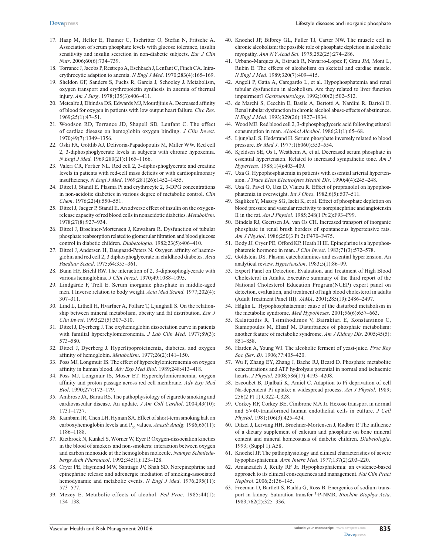- 17. Haap M, Heller E, Thamer C, Tschritter O, Stefan N, Fritsche A. Association of serum phosphate levels with glucose tolerance, insulin sensitivity and insulin secretion in non-diabetic subjects. *Eur J Clin Nutr*. 2006;60(6):734–739.
- 18. Torrance J, Jacobs P, Restrepo A, Eschbach J, Lenfant C, Finch CA. Intraerythrocytic adaption to anemia. *N Engl J Med*. 1970;283(4):165–169.
- 19. Sheldon GF, Sanders S, Fuchs R, Garcia J, Schooley J. Metabolism, oxygen transport and erythropoietin synthesis in anemia of thermal injury. *Am J Surg*. 1978;135(3):406–411.
- 20. Metcalfe J, Dhindsa DS, Edwards MJ, Mourdjinis A. Decreased affinity of blood for oxygen in patients with low output heart failure. *Circ Res*. 1969;25(1):47–51.
- 21. Woodson RD, Torrance JD, Shapell SD, Lenfant C. The effect of cardiac disease on hemoglobin oxygen binding. *J Clin Invest*. 1970;49(7):1349–1356.
- 22. Oski FA, Gottlib AJ, Delivoria-Papadopoulis M, Miller WW. Red cell 2, 3-diphosphoglycerate levels in subjects with chronic hypoxemia. *N Engl J Med*. 1969;280(21):1165–1166.
- 23. Valeri CR, Fortier NL. Red cell 2, 3-diphosphoglycerate and creatine levels in patients with red-cell mass deficits or with cardiopulmonary insufficiency. *N Engl J Med*. 1969;281(26):1452–1455.
- 24. Ditzel J, Standl E. Plasma Pi and erythrocyte 2, 3-DPG concentrations in non-acidotic diabetics in various degree of metabolic control. *Clin Chem*. 1976;22(4):550–551.
- 25. Ditzel J, Jaeger P, Standl E. An adverse effect of insulin on the oxygenrelease capacity of red blood cells in nonacidotic diabetics. *Metabolism*. 1978;27(8):927–934.
- 26. Ditzel J, Brøchner-Mortensen J, Kawahara R. Dysfunction of tubular phosphate reabsorption related to glomerular filtration and blood glucose control in diabetic children. *Diabetologia*. 1982;23(5):406–410.
- 27. Ditzel J, Andersen H, Daugaard-Peters N. Oxygen affinity of haemoglobin and red cell 2, 3 diphosphoglycerate in childhood diabetes. *Acta Paediatr Scand*. 1975;64:355–361.
- 28. Bunn HF, Briehl RW. The interaction of 2, 3-diphosphoglycerate with various hemoglobins. *J Clin Invest*. 1970;49:1088–1095.
- 29. Lindgärde F, Trell E. Serum inorganic phosphate in middle-aged men. I Inverse relation to body weight. *Acta Med Scand*. 1977;202(4): 307–311.
- 30. Lind L, Lithell H, Hvarfner A, Pollare T, Ljunghall S. On the relationship between mineral metabolism, obesity and fat distribution. *Eur J Clin Invest*. 1993;23(5):307–310.
- 31. Ditzel J, Dyerberg J. The oxyhemoglobin dissociation curve in patients with familial hyperchylomicronemia. *J Lab Clin Med*. 1977;89(3): 573–580.
- 32. Ditzel J, Dyerberg J. Hyperlipoproteinemia, diabetes, and oxygen affinity of hemoglobin. *Metabolism*. 1977;26(2):141–150.
- 33. Poss MJ, Longmuir IS. The effect of hyperchylomicronemia on oxygen affinity in human blood. *Adv Exp Med Biol*. 1989;248:413–418.
- 34. Poss MJ, Longmuir IS, Moser ET. Hyperchylomicronemia, oxygen affinity and proton passage across red cell membrane. *Adv Exp Med Biol*. 1990;277:173–179.
- 35. Ambrose JA, Barua RS. The pathophysiology of cigarette smoking and cardiovascular disease. An update. *J Am Coll Cardiol*. 2004;43(10): 1731–1737.
- 36. Kambam JR, Chen LH, Hyman SA. Effect of short-term smoking halt on carboxyhemoglobin levels and P<sub>50</sub> values. *Anesth Analg*. 1986;65(11): 1186–1188.
- 37. Rietbrock N, Kunkel S, Wörner W, Eyer P. Oxygen-dissociation kinetics in the blood of smokers and non-smokers: interaction between oxygen and carbon monoxide at the hemoglobin molecule. *Naunyn Schmiedebergs Arch Pharmacol*. 1992;345(1):123–128.
- 38. Cryer PE, Haymond MW, Santiago JV, Shah SD. Norepinephrine and epinephrine release and adrenergic mediation of smoking-associated hemodynamic and metabolic events. *N Engl J Med*. 1976;295(11): 573–577.
- 39. Mezey E. Metabolic effects of alcohol. *Fed Proc*. 1985;44(1): 134–138.
- 40. Knochel JP, Bilbrey GL, Fuller TJ, Carter NW. The muscle cell in chronic alcoholism: the possible role of phosphate depletion in alcoholic myopathy. *Ann N Y Acad Sci*. 1975;252(25):274–286.
- 41. Urbano-Marquez A, Estruch R, Navarro-Lopez F, Grau JM, Mont L, Rubin E. The effects of alcoholism on sketetal and cardiac muscle. *N Engl J Med*. 1989;320(7):409–415.
- 42. Angeli P, Gatta A, Caregardo L, et al. Hypophosphatemia and renal tubular dysfunction in alcoholism. Are they related to liver function impairment? *Gastroenterology*. 1992;100(2):502–512.
- 43. de Marchi S, Cecchin E, Basile A, Bertotti A, Nardini R, Bartoli E. Renal tubular dysfunction in chronic alcohol abuse-effects of abstinence. *N Engl J Med*. 1993;329(26):1927–1934.
- 44. Wood ME. Red blood cell 2, 3-diphosphoglyceric acid following ethanol consumption in man. *Alcohol Alcohol*. 1986;21(1):65–68.
- 45. Ljunghall S, Hedstrand H. Serum phosphate inversely related to blood pressure. *Br Med J*. 1977;1(6060):553–554.
- 46. Kjeldsen SE, Os I, Westheim A, et al. Decreased serum phosphate in essential hypertension. Related to increased sympathetic tone. *Am J Hypertens*. 1988;1(4):403–409.
- 47. Uza G. Hypophosphatemia in patients with essential arterial hypertension. *J Trace Elem Electrolytes Health Dis*. 1990;4(4):245–248.
- 48. Uza G, Pavel O, Uza D, Vlaicu R. Effect of propranolol on hypophosphatemia in overweight. *Int J Obes*. 1982;6(5):507–511.
- 49. Saglikes Y, Massry SG, Iseki K, et al. Effect of phosphate depletion on blood pressure and vascular reactivity to norepinephrine and angiotensin II in the rat. *Am J Physiol*. 1985;248(1 Pt 2):F93–F99.
- 50. Bindels RJ, Geertsen JA, van Os CH. Increased transport of inorganic phosphate in renal brush borders of spontaneous hypertensive rats. *Am J Physiol*. 1986;250(3 Pt 2):F470–F475.
- 51. Body JJ, Cryer PE, Offord KP, Heath H III. Epinephrine is a hypophosphatemic hormone in man. *J Clin Invest*. 1983;71(3):572–578.
- 52. Goldstein DS. Plasma catecholamines and essential hypertension. An analytical review. *Hypertension*. 1983;5(1):86–99.
- 53. Expert Panel on Detection, Evaluation, and Treatment of High Blood Cholesterol in Adults. Executive summary of the third report of the National Cholesterol Education Program(NCEP) expert panel on detection, evaluation, and treatment of high blood cholesterol in adults (Adult Treatment Panel III). *JAMA*. 2001;285(19):2486–2497.
- 54. Håglin L. Hypophosphataemia: cause of the disturbed metabolism in the metabolic syndrome. *Med Hypotheses*. 2001;56(6):657–663.
- 55. Kalaitzidis R, Tsimihodimos V, Bairaktari E, Konstantinos C, Siamopoulos M, Elisaf M. Disturbances of phosphate metabolism: another feature of metabolic syndrome. *Am J Kidney Dis*. 2005;45(5): 851–858.
- 56. Harden A, Young WJ. The alcoholic ferment of yeast-juice. *Proc Roy Soc (Ser*. *B)*. 1906;77:405–420.
- 57. Wu F, Zhang EY, Zhang J, Bache RJ, Beard D. Phosphate metabolite concentrations and ATP hydrolysis potential in normal and ischaemic hearts. *J Physiol*. 2008;586(17):4193–4208.
- 58. Escoubet B, Djalbali K, Amiel C. Adaption to Pi deprivation of cell Na-dependent Pi uptake: a widespread process. *Am J Physiol*. 1989; 256(2 Pt 1):C322–C328.
- 59. Corkey RF, Corkey BE, Cimbrone MA Jr. Hexose transport in normal and SV40-transformed human endothelial cells in culture. *J Cell Physiol*. 1981;106(3):425–434.
- 60. Ditzel J, Lervang HH, Brøchner-Mortensen J, Rødbro P. The influence of a dietary supplement of calcium and phosphate on bone mineral content and mineral homeostasis of diabetic children. *Diabetologia*. 1993; (Suppl 1):A58.
- 61. Knochel JP. The pathophysiology and clinical characteristics of severe hypophosphatemia. *Arch Intern Med*. 1977;137(2):203–220.
- 62. Amanzadeh J, Reilly RF Jr. Hypophosphatemia: an evidence-based approach to its clinical consequences and management. *Nat Clin Pract Nephrol*. 2006;2:136–145.
- 63. Freeman D, Bartlett S, Radda G, Ross B. Energenics of sodium transport in kidney. Saturation transfer 31P-NMR. *Biochim Biophys Acta*. 1983;762(2):325–336.